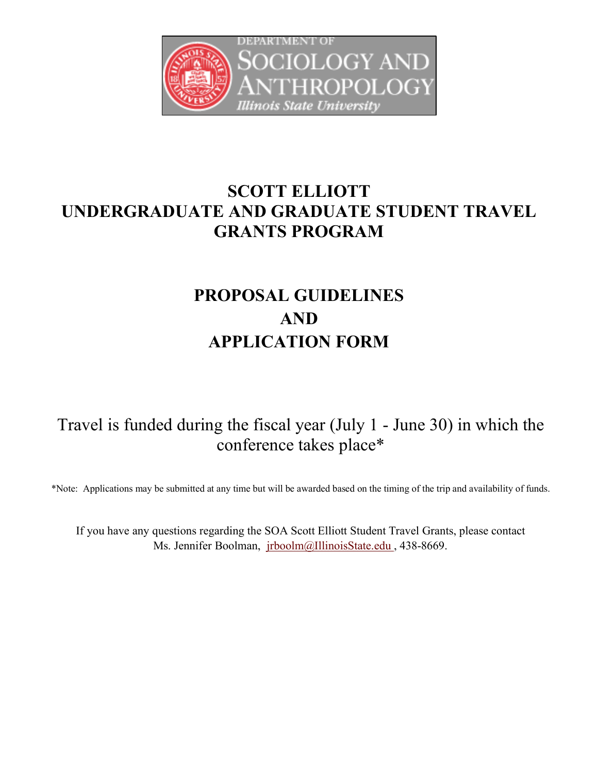

# **SCOTT ELLIOTT UNDERGRADUATE AND GRADUATE STUDENT TRAVEL GRANTS PROGRAM**

# **PROPOSAL GUIDELINES AND APPLICATION FORM**

Travel is funded during the fiscal year (July 1 - June 30) in which the conference takes place\*

\*Note: Applications may be submitted at any time but will be awarded based on the timing of the trip and availability of funds.

If you have any questions regarding the SOA Scott Elliott Student Travel Grants, please contact Ms. Jennifer Boolman, jrboolm@IllinoisState.edu, 438-8669.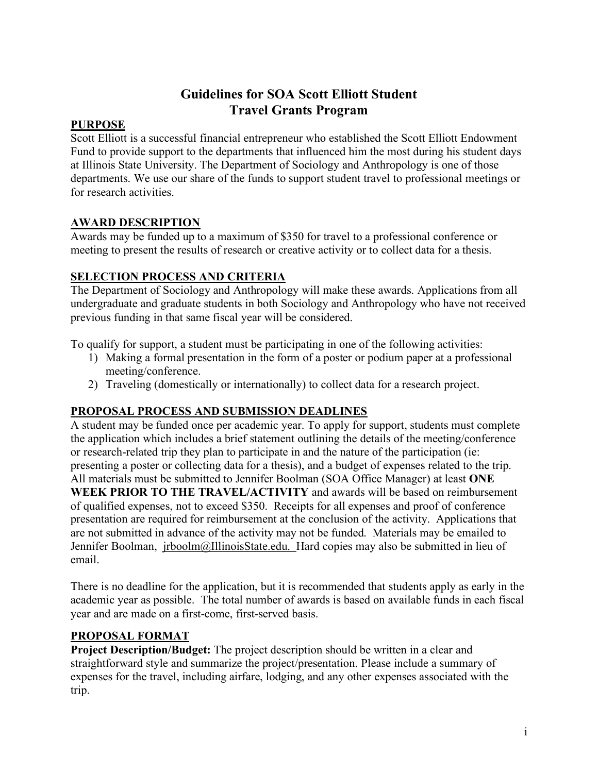## **Guidelines for SOA Scott Elliott Student Travel Grants Program**

#### **PURPOSE**

Scott Elliott is a successful financial entrepreneur who established the Scott Elliott Endowment Fund to provide support to the departments that influenced him the most during his student days at Illinois State University. The Department of Sociology and Anthropology is one of those departments. We use our share of the funds to support student travel to professional meetings or for research activities.

#### **AWARD DESCRIPTION**

Awards may be funded up to a maximum of \$350 for travel to a professional conference or meeting to present the results of research or creative activity or to collect data for a thesis.

#### **SELECTION PROCESS AND CRITERIA**

The Department of Sociology and Anthropology will make these awards. Applications from all undergraduate and graduate students in both Sociology and Anthropology who have not received previous funding in that same fiscal year will be considered.

To qualify for support, a student must be participating in one of the following activities:

- 1) Making a formal presentation in the form of a poster or podium paper at a professional meeting/conference.
- 2) Traveling (domestically or internationally) to collect data for a research project.

### **PROPOSAL PROCESS AND SUBMISSION DEADLINES**

A student may be funded once per academic year. To apply for support, students must complete the application which includes a brief statement outlining the details of the meeting/conference or research-related trip they plan to participate in and the nature of the participation (ie: presenting a poster or collecting data for a thesis), and a budget of expenses related to the trip. All materials must be submitted to Jennifer Boolman (SOA Office Manager) at least **ONE WEEK PRIOR TO THE TRAVEL/ACTIVITY** and awards will be based on reimbursement of qualified expenses, not to exceed \$350. Receipts for all expenses and proof of conference presentation are required for reimbursement at the conclusion of the activity. Applications that are not submitted in advance of the activity may not be funded. Materials may be emailed to Jennifer Boolman, jrboolm@IllinoisState.edu. Hard copies may also be submitted in lieu of email.

There is no deadline for the application, but it is recommended that students apply as early in the academic year as possible. The total number of awards is based on available funds in each fiscal year and are made on a first-come, first-served basis.

#### **PROPOSAL FORMAT**

**Project Description/Budget:** The project description should be written in a clear and straightforward style and summarize the project/presentation. Please include a summary of expenses for the travel, including airfare, lodging, and any other expenses associated with the trip.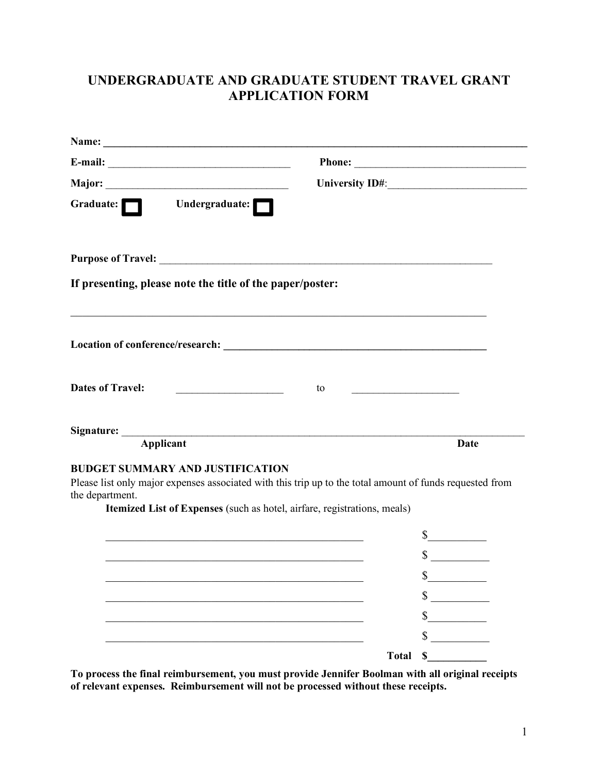# **UNDERGRADUATE AND GRADUATE STUDENT TRAVEL GRANT APPLICATION FORM**

| Undergraduate:<br>Graduate: $\Box$                                                                                                              |                                                                                                          |
|-------------------------------------------------------------------------------------------------------------------------------------------------|----------------------------------------------------------------------------------------------------------|
|                                                                                                                                                 |                                                                                                          |
| If presenting, please note the title of the paper/poster:                                                                                       |                                                                                                          |
|                                                                                                                                                 |                                                                                                          |
|                                                                                                                                                 |                                                                                                          |
| <b>Dates of Travel:</b><br><u> 1980 - Andrea Station Barbara, politik eta provincia eta provincia eta provincia eta provincia eta provincia</u> | to                                                                                                       |
|                                                                                                                                                 |                                                                                                          |
| Applicant                                                                                                                                       | Date                                                                                                     |
| <b>BUDGET SUMMARY AND JUSTIFICATION</b><br>the department.<br>Itemized List of Expenses (such as hotel, airfare, registrations, meals)          | Please list only major expenses associated with this trip up to the total amount of funds requested from |
|                                                                                                                                                 | $\frac{\text{S}}{\text{S}}$                                                                              |
|                                                                                                                                                 | $\mathbb{S}$                                                                                             |
|                                                                                                                                                 |                                                                                                          |
|                                                                                                                                                 | \$                                                                                                       |
|                                                                                                                                                 | \$                                                                                                       |
|                                                                                                                                                 |                                                                                                          |
|                                                                                                                                                 | \$                                                                                                       |

**To process the final reimbursement, you must provide Jennifer Boolman with all original receipts of relevant expenses. Reimbursement will not be processed without these receipts.**